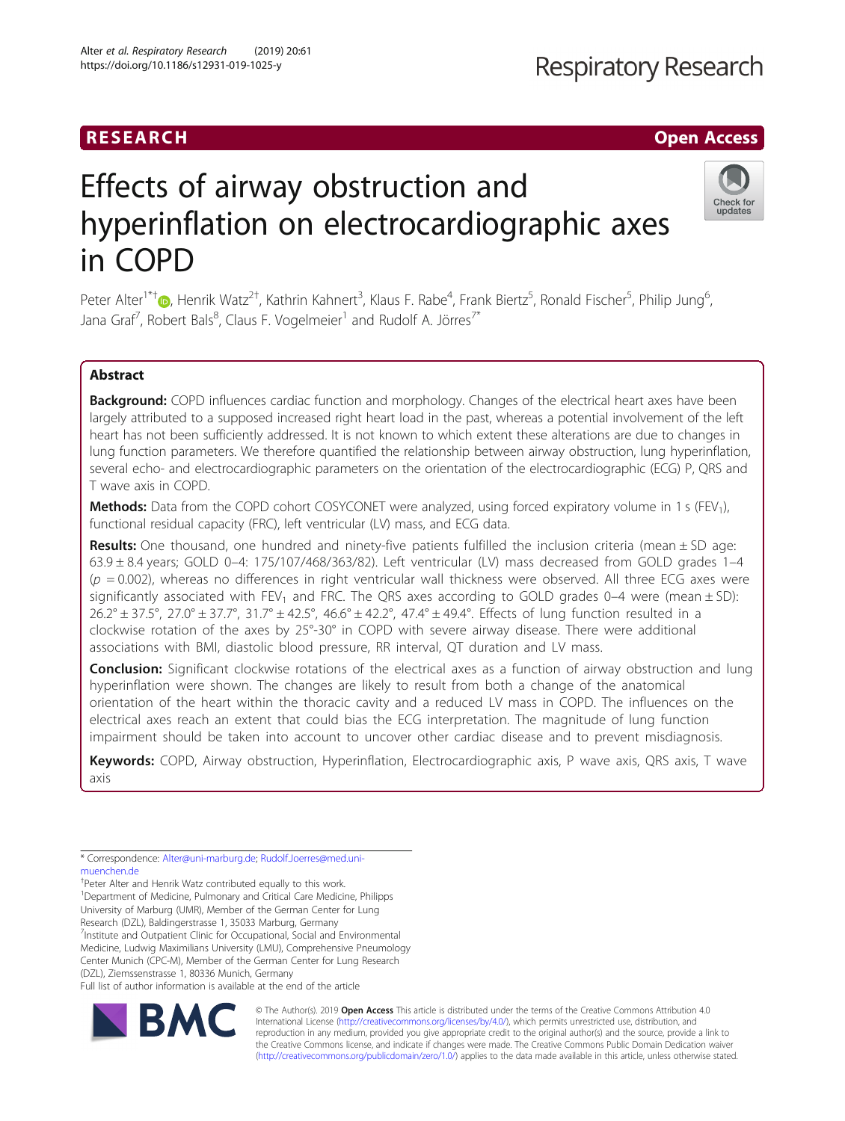Alter et al. Respiratory Research (2019) 20:61 https://doi.org/10.1186/s12931-019-1025-y

# Effects of airway obstruction and hyperinflation on electrocardiographic axes in COPD



Peter Alter<sup>1\*[†](http://orcid.org/0000-0002-2115-1743)</sup>®, Henrik Watz<sup>2†</sup>, Kathrin Kahnert<sup>3</sup>, Klaus F. Rabe<sup>4</sup>, Frank Biertz<sup>5</sup>, Ronald Fischer<sup>5</sup>, Philip Jung<sup>6</sup> י<br>, Jana Graf<sup>7</sup>, Robert Bals<sup>8</sup>, Claus F. Vogelmeier<sup>1</sup> and Rudolf A. Jörres<sup>7\*</sup>

# Abstract

Background: COPD influences cardiac function and morphology. Changes of the electrical heart axes have been largely attributed to a supposed increased right heart load in the past, whereas a potential involvement of the left heart has not been sufficiently addressed. It is not known to which extent these alterations are due to changes in lung function parameters. We therefore quantified the relationship between airway obstruction, lung hyperinflation, several echo- and electrocardiographic parameters on the orientation of the electrocardiographic (ECG) P, QRS and T wave axis in COPD.

**Methods:** Data from the COPD cohort COSYCONET were analyzed, using forced expiratory volume in 1 s (FEV<sub>1</sub>), functional residual capacity (FRC), left ventricular (LV) mass, and ECG data.

Results: One thousand, one hundred and ninety-five patients fulfilled the inclusion criteria (mean  $\pm$  SD age: 63.9 ± 8.4 years; GOLD 0–4: 175/107/468/363/82). Left ventricular (LV) mass decreased from GOLD grades 1–4  $(p = 0.002)$ , whereas no differences in right ventricular wall thickness were observed. All three ECG axes were significantly associated with FEV<sub>1</sub> and FRC. The QRS axes according to GOLD grades 0–4 were (mean  $\pm$  SD): 26.2° ± 37.5°, 27.0° ± 37.7°, 31.7° ± 42.5°, 46.6° ± 42.2°, 47.4° ± 49.4°. Effects of lung function resulted in a clockwise rotation of the axes by 25°-30° in COPD with severe airway disease. There were additional associations with BMI, diastolic blood pressure, RR interval, QT duration and LV mass.

**Conclusion:** Significant clockwise rotations of the electrical axes as a function of airway obstruction and lung hyperinflation were shown. The changes are likely to result from both a change of the anatomical orientation of the heart within the thoracic cavity and a reduced LV mass in COPD. The influences on the electrical axes reach an extent that could bias the ECG interpretation. The magnitude of lung function impairment should be taken into account to uncover other cardiac disease and to prevent misdiagnosis.

Keywords: COPD, Airway obstruction, Hyperinflation, Electrocardiographic axis, P wave axis, QRS axis, T wave axis

\* Correspondence: [Alter@uni-marburg.de](mailto:Alter@uni-marburg.de); [Rudolf.Joerres@med.uni](mailto:Rudolf.Joerres@med.uni-muenchen.de)[muenchen.de](mailto:Rudolf.Joerres@med.uni-muenchen.de)

† Peter Alter and Henrik Watz contributed equally to this work. <sup>1</sup>Department of Medicine, Pulmonary and Critical Care Medicine, Philipps University of Marburg (UMR), Member of the German Center for Lung Research (DZL), Baldingerstrasse 1, 35033 Marburg, Germany <sup>7</sup>Institute and Outpatient Clinic for Occupational, Social and Environmental Medicine, Ludwig Maximilians University (LMU), Comprehensive Pneumology Center Munich (CPC-M), Member of the German Center for Lung Research (DZL), Ziemssenstrasse 1, 80336 Munich, Germany Full list of author information is available at the end of the article



© The Author(s). 2019 **Open Access** This article is distributed under the terms of the Creative Commons Attribution 4.0 International License [\(http://creativecommons.org/licenses/by/4.0/](http://creativecommons.org/licenses/by/4.0/)), which permits unrestricted use, distribution, and reproduction in any medium, provided you give appropriate credit to the original author(s) and the source, provide a link to the Creative Commons license, and indicate if changes were made. The Creative Commons Public Domain Dedication waiver [\(http://creativecommons.org/publicdomain/zero/1.0/](http://creativecommons.org/publicdomain/zero/1.0/)) applies to the data made available in this article, unless otherwise stated.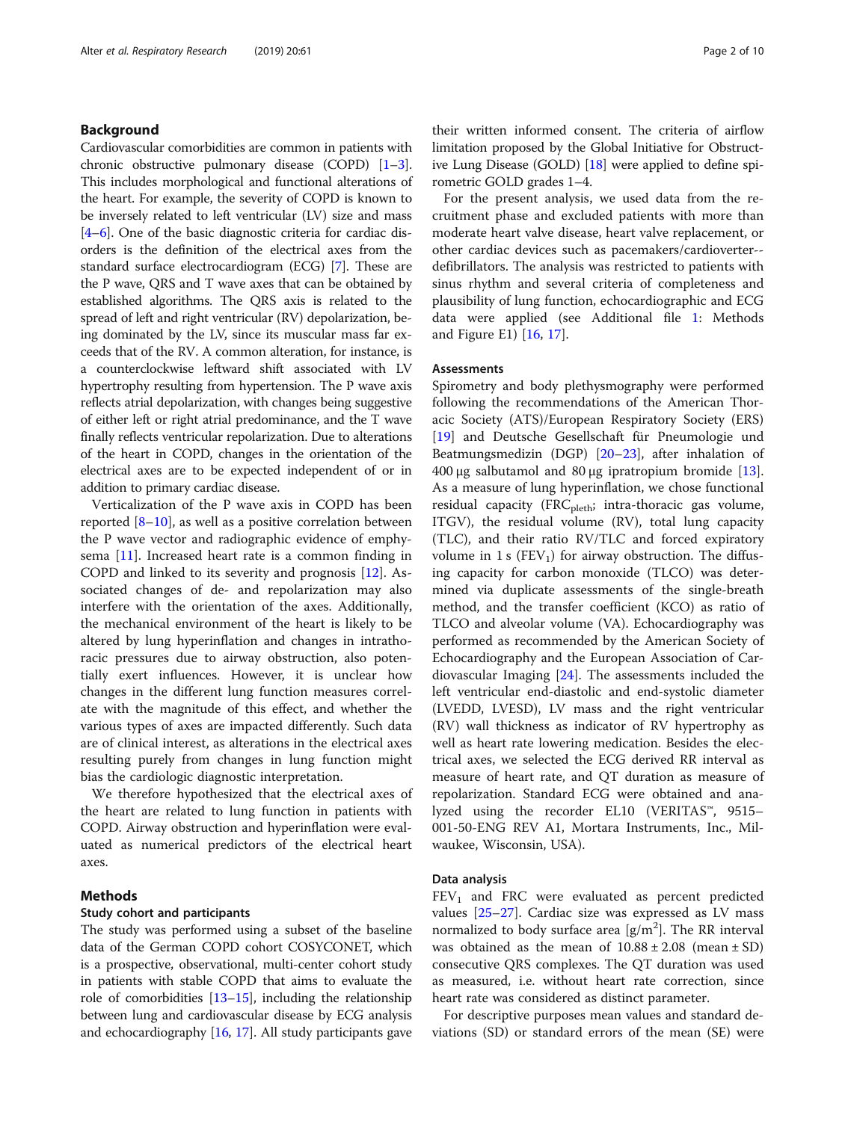# Background

Cardiovascular comorbidities are common in patients with chronic obstructive pulmonary disease (COPD) [\[1](#page-8-0)–[3](#page-8-0)]. This includes morphological and functional alterations of the heart. For example, the severity of COPD is known to be inversely related to left ventricular (LV) size and mass [[4](#page-8-0)–[6](#page-8-0)]. One of the basic diagnostic criteria for cardiac disorders is the definition of the electrical axes from the standard surface electrocardiogram (ECG) [\[7](#page-8-0)]. These are the P wave, QRS and T wave axes that can be obtained by established algorithms. The QRS axis is related to the spread of left and right ventricular (RV) depolarization, being dominated by the LV, since its muscular mass far exceeds that of the RV. A common alteration, for instance, is a counterclockwise leftward shift associated with LV hypertrophy resulting from hypertension. The P wave axis reflects atrial depolarization, with changes being suggestive of either left or right atrial predominance, and the T wave finally reflects ventricular repolarization. Due to alterations of the heart in COPD, changes in the orientation of the electrical axes are to be expected independent of or in addition to primary cardiac disease.

Verticalization of the P wave axis in COPD has been reported  $[8-10]$  $[8-10]$  $[8-10]$  $[8-10]$  $[8-10]$ , as well as a positive correlation between the P wave vector and radiographic evidence of emphysema [[11](#page-8-0)]. Increased heart rate is a common finding in COPD and linked to its severity and prognosis [\[12](#page-8-0)]. Associated changes of de- and repolarization may also interfere with the orientation of the axes. Additionally, the mechanical environment of the heart is likely to be altered by lung hyperinflation and changes in intrathoracic pressures due to airway obstruction, also potentially exert influences. However, it is unclear how changes in the different lung function measures correlate with the magnitude of this effect, and whether the various types of axes are impacted differently. Such data are of clinical interest, as alterations in the electrical axes resulting purely from changes in lung function might bias the cardiologic diagnostic interpretation.

We therefore hypothesized that the electrical axes of the heart are related to lung function in patients with COPD. Airway obstruction and hyperinflation were evaluated as numerical predictors of the electrical heart axes.

# Methods

# Study cohort and participants

The study was performed using a subset of the baseline data of the German COPD cohort COSYCONET, which is a prospective, observational, multi-center cohort study in patients with stable COPD that aims to evaluate the role of comorbidities [\[13](#page-8-0)–[15\]](#page-8-0), including the relationship between lung and cardiovascular disease by ECG analysis and echocardiography [\[16](#page-8-0), [17\]](#page-8-0). All study participants gave

their written informed consent. The criteria of airflow limitation proposed by the Global Initiative for Obstructive Lung Disease (GOLD) [\[18\]](#page-8-0) were applied to define spirometric GOLD grades 1–4.

For the present analysis, we used data from the recruitment phase and excluded patients with more than moderate heart valve disease, heart valve replacement, or other cardiac devices such as pacemakers/cardioverter- defibrillators. The analysis was restricted to patients with sinus rhythm and several criteria of completeness and plausibility of lung function, echocardiographic and ECG data were applied (see Additional file [1:](#page-7-0) Methods and Figure E1) [\[16,](#page-8-0) [17\]](#page-8-0).

# Assessments

Spirometry and body plethysmography were performed following the recommendations of the American Thoracic Society (ATS)/European Respiratory Society (ERS) [[19\]](#page-8-0) and Deutsche Gesellschaft für Pneumologie und Beatmungsmedizin (DGP) [\[20](#page-8-0)–[23\]](#page-8-0), after inhalation of  $400 \mu$ g salbutamol and 80 μg ipratropium bromide [\[13](#page-8-0)]. As a measure of lung hyperinflation, we chose functional residual capacity (FRC<sub>pleth</sub>; intra-thoracic gas volume, ITGV), the residual volume (RV), total lung capacity (TLC), and their ratio RV/TLC and forced expiratory volume in 1 s  $(FEV_1)$  for airway obstruction. The diffusing capacity for carbon monoxide (TLCO) was determined via duplicate assessments of the single-breath method, and the transfer coefficient (KCO) as ratio of TLCO and alveolar volume (VA). Echocardiography was performed as recommended by the American Society of Echocardiography and the European Association of Cardiovascular Imaging [[24\]](#page-8-0). The assessments included the left ventricular end-diastolic and end-systolic diameter (LVEDD, LVESD), LV mass and the right ventricular (RV) wall thickness as indicator of RV hypertrophy as well as heart rate lowering medication. Besides the electrical axes, we selected the ECG derived RR interval as measure of heart rate, and QT duration as measure of repolarization. Standard ECG were obtained and analyzed using the recorder EL10 (VERITAS™, 9515– 001-50-ENG REV A1, Mortara Instruments, Inc., Milwaukee, Wisconsin, USA).

#### Data analysis

 $FEV<sub>1</sub>$  and FRC were evaluated as percent predicted values [\[25](#page-8-0)–[27\]](#page-9-0). Cardiac size was expressed as LV mass normalized to body surface area  $[g/m^2]$ . The RR interval was obtained as the mean of  $10.88 \pm 2.08$  (mean  $\pm$  SD) consecutive QRS complexes. The QT duration was used as measured, i.e. without heart rate correction, since heart rate was considered as distinct parameter.

For descriptive purposes mean values and standard deviations (SD) or standard errors of the mean (SE) were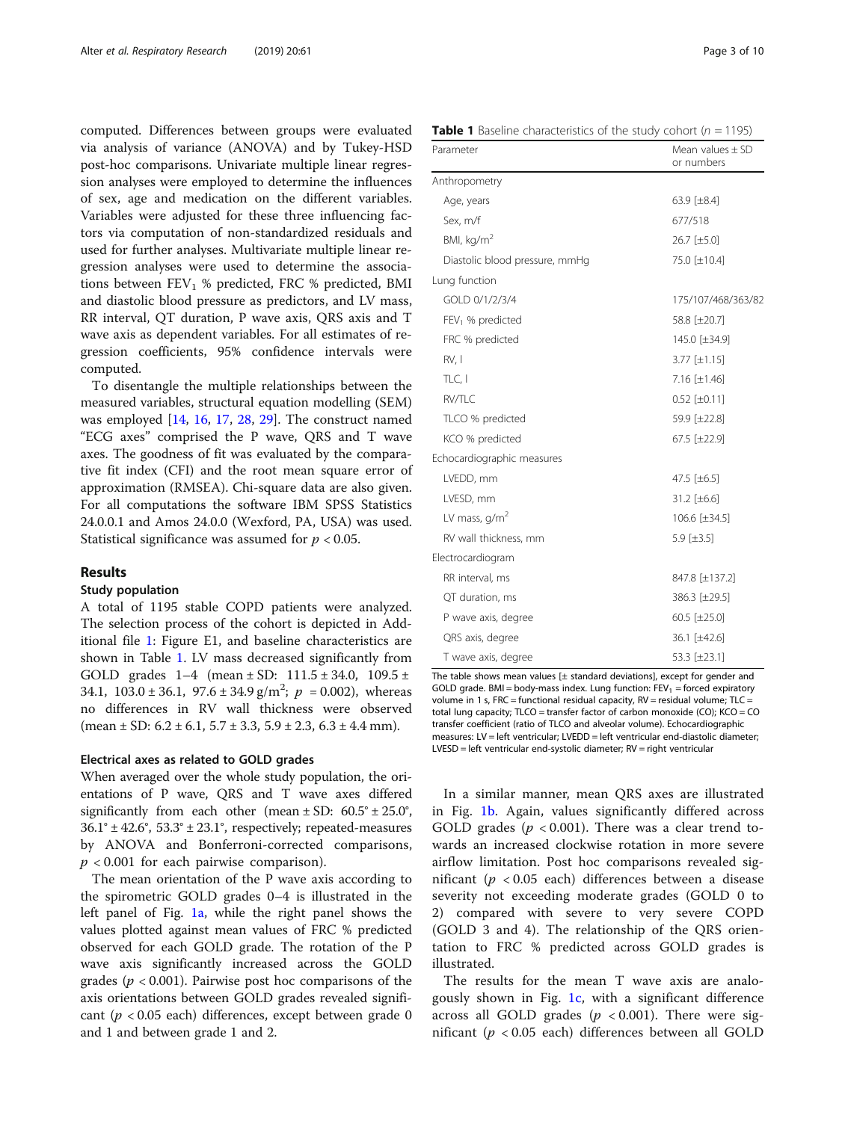computed. Differences between groups were evaluated via analysis of variance (ANOVA) and by Tukey-HSD post-hoc comparisons. Univariate multiple linear regression analyses were employed to determine the influences of sex, age and medication on the different variables. Variables were adjusted for these three influencing factors via computation of non-standardized residuals and used for further analyses. Multivariate multiple linear regression analyses were used to determine the associations between  $FEV<sub>1</sub>$  % predicted, FRC % predicted, BMI and diastolic blood pressure as predictors, and LV mass, RR interval, QT duration, P wave axis, QRS axis and T wave axis as dependent variables. For all estimates of regression coefficients, 95% confidence intervals were computed.

To disentangle the multiple relationships between the measured variables, structural equation modelling (SEM) was employed [\[14](#page-8-0), [16](#page-8-0), [17,](#page-8-0) [28](#page-9-0), [29\]](#page-9-0). The construct named "ECG axes" comprised the P wave, QRS and T wave axes. The goodness of fit was evaluated by the comparative fit index (CFI) and the root mean square error of approximation (RMSEA). Chi-square data are also given. For all computations the software IBM SPSS Statistics 24.0.0.1 and Amos 24.0.0 (Wexford, PA, USA) was used. Statistical significance was assumed for  $p < 0.05$ .

# Results

# Study population

A total of 1195 stable COPD patients were analyzed. The selection process of the cohort is depicted in Additional file [1:](#page-7-0) Figure E1, and baseline characteristics are shown in Table 1. LV mass decreased significantly from GOLD grades  $1-4$  (mean  $\pm$  SD:  $111.5 \pm 34.0$ ,  $109.5 \pm$ 34.1,  $103.0 \pm 36.1$ ,  $97.6 \pm 34.9$  g/m<sup>2</sup>;  $p = 0.002$ ), whereas no differences in RV wall thickness were observed  $(\text{mean} \pm \text{SD}: 6.2 \pm 6.1, 5.7 \pm 3.3, 5.9 \pm 2.3, 6.3 \pm 4.4 \text{ mm}).$ 

## Electrical axes as related to GOLD grades

When averaged over the whole study population, the orientations of P wave, QRS and T wave axes differed significantly from each other (mean  $\pm$  SD:  $60.5^{\circ} \pm 25.0^{\circ}$ ,  $36.1^{\circ}$  ± 42.6°,  $53.3^{\circ}$  ± 23.1°, respectively; repeated-measures by ANOVA and Bonferroni-corrected comparisons,  $p < 0.001$  for each pairwise comparison).

The mean orientation of the P wave axis according to the spirometric GOLD grades 0–4 is illustrated in the left panel of Fig. [1a](#page-3-0), while the right panel shows the values plotted against mean values of FRC % predicted observed for each GOLD grade. The rotation of the P wave axis significantly increased across the GOLD grades ( $p < 0.001$ ). Pairwise post hoc comparisons of the axis orientations between GOLD grades revealed significant ( $p < 0.05$  each) differences, except between grade 0 and 1 and between grade 1 and 2.

| <b>Table 1</b> Baseline characteristics of the study cohort ( $n = 1195$ ) |  |
|----------------------------------------------------------------------------|--|
|----------------------------------------------------------------------------|--|

| Parameter                      | Mean values $\pm$ SD  |
|--------------------------------|-----------------------|
|                                | or numbers            |
| Anthropometry                  |                       |
| Age, years                     | 63.9 [±8.4]           |
| Sex, m/f                       | 677/518               |
| BMI, kg/m <sup>2</sup>         | 26.7 [±5.0]           |
| Diastolic blood pressure, mmHg | 75.0 [±10.4]          |
| Lung function                  |                       |
| GOLD 0/1/2/3/4                 | 175/107/468/363/82    |
| FEV <sub>1</sub> % predicted   | 58.8 [±20.7]          |
| FRC % predicted                | 145.0 [±34.9]         |
| RV, I                          | 3.77 [±1.15]          |
| TLC, I                         | 7.16 [±1.46]          |
| <b>RV/TLC</b>                  | $0.52$ [ $\pm 0.11$ ] |
| TLCO % predicted               | 59.9 [±22.8]          |
| KCO % predicted                | 67.5 [±22.9]          |
| Echocardiographic measures     |                       |
| LVEDD, mm                      | 47.5 [±6.5]           |
| LVESD, mm                      | 31.2 [±6.6]           |
| LV mass, $g/m2$                | 106.6 [±34.5]         |
| RV wall thickness, mm          | 5.9 [±3.5]            |
| Electrocardiogram              |                       |
| RR interval, ms                | 847.8 [±137.2]        |
| QT duration, ms                | 386.3 [±29.5]         |
| P wave axis, degree            | 60.5 [ $\pm$ 25.0]    |
| QRS axis, degree               | 36.1 [±42.6]          |
| T wave axis, degree            | 53.3 [±23.1]          |

The table shows mean values  $[\pm$  standard deviations], except for gender and GOLD grade. BMI = body-mass index. Lung function:  $FEV_1 =$  forced expiratory volume in 1 s, FRC = functional residual capacity,  $RV$  = residual volume; TLC = total lung capacity; TLCO = transfer factor of carbon monoxide (CO); KCO = CO transfer coefficient (ratio of TLCO and alveolar volume). Echocardiographic measures: LV = left ventricular; LVEDD = left ventricular end-diastolic diameter; LVESD = left ventricular end-systolic diameter; RV = right ventricular

In a similar manner, mean QRS axes are illustrated in Fig. [1b.](#page-3-0) Again, values significantly differed across GOLD grades ( $p < 0.001$ ). There was a clear trend towards an increased clockwise rotation in more severe airflow limitation. Post hoc comparisons revealed significant ( $p < 0.05$  each) differences between a disease severity not exceeding moderate grades (GOLD 0 to 2) compared with severe to very severe COPD (GOLD 3 and 4). The relationship of the QRS orientation to FRC % predicted across GOLD grades is illustrated.

The results for the mean T wave axis are analogously shown in Fig.  $1c$ , with a significant difference across all GOLD grades ( $p < 0.001$ ). There were significant ( $p < 0.05$  each) differences between all GOLD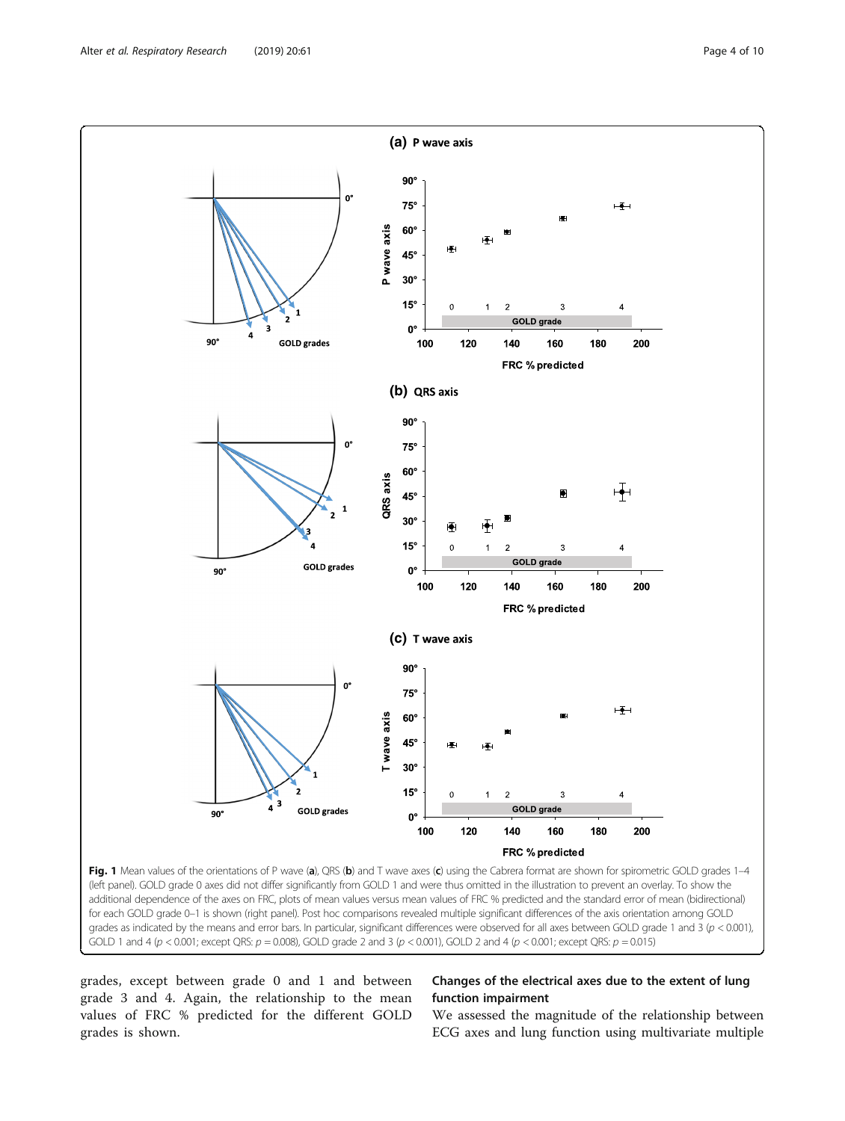<span id="page-3-0"></span>

GOLD 1 and 4 ( $p < 0.001$ ; except QRS:  $p = 0.008$ ), GOLD grade 2 and 3 ( $p < 0.001$ ), GOLD 2 and 4 ( $p < 0.001$ ; except QRS:  $p = 0.015$ )

grades, except between grade 0 and 1 and between grade 3 and 4. Again, the relationship to the mean values of FRC % predicted for the different GOLD grades is shown.

# Changes of the electrical axes due to the extent of lung function impairment

We assessed the magnitude of the relationship between ECG axes and lung function using multivariate multiple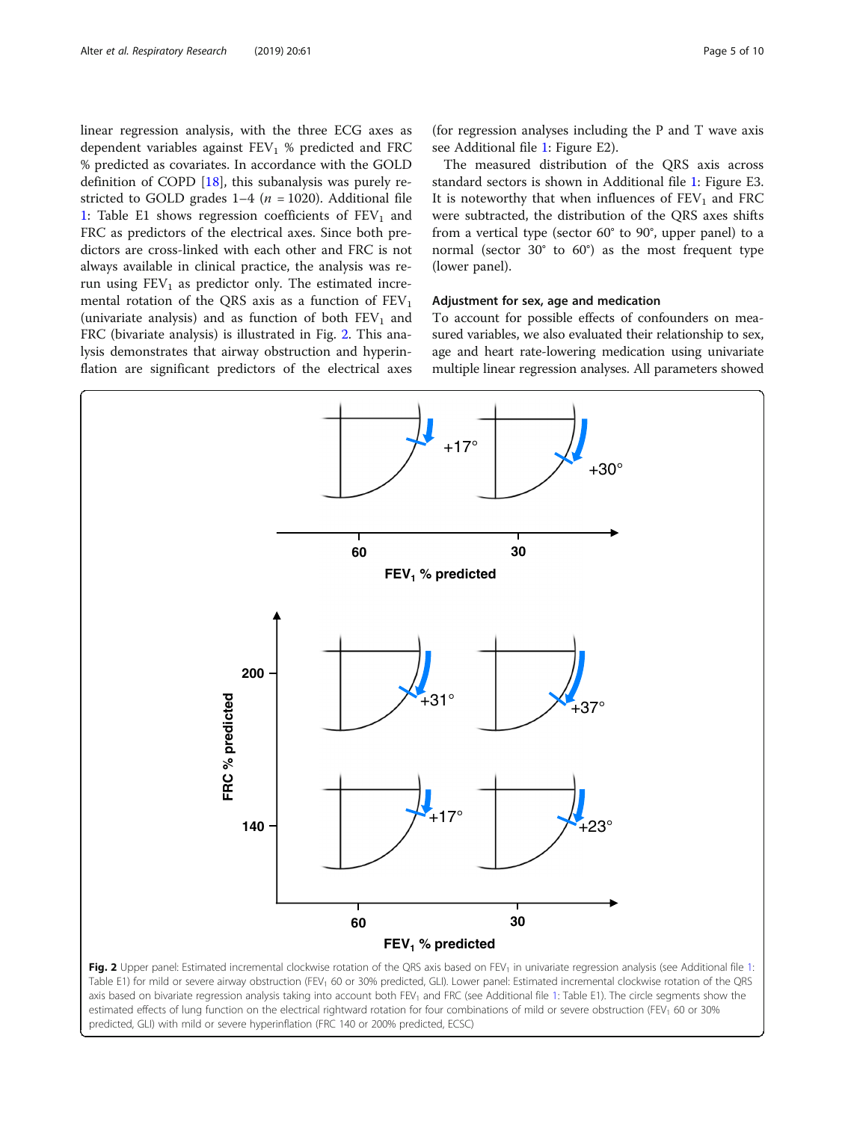linear regression analysis, with the three ECG axes as dependent variables against  $FEV<sub>1</sub>$  % predicted and FRC % predicted as covariates. In accordance with the GOLD definition of COPD [[18\]](#page-8-0), this subanalysis was purely restricted to GOLD grades  $1-4$  ( $n = 1020$ ). Additional file [1:](#page-7-0) Table E1 shows regression coefficients of  $FEV<sub>1</sub>$  and FRC as predictors of the electrical axes. Since both predictors are cross-linked with each other and FRC is not always available in clinical practice, the analysis was rerun using  $FEV<sub>1</sub>$  as predictor only. The estimated incremental rotation of the QRS axis as a function of  $FEV<sub>1</sub>$ (univariate analysis) and as function of both  $FEV<sub>1</sub>$  and FRC (bivariate analysis) is illustrated in Fig. 2. This analysis demonstrates that airway obstruction and hyperinflation are significant predictors of the electrical axes

(for regression analyses including the P and T wave axis see Additional file [1:](#page-7-0) Figure E2).

The measured distribution of the QRS axis across standard sectors is shown in Additional file [1:](#page-7-0) Figure E3. It is noteworthy that when influences of  $FEV<sub>1</sub>$  and  $FRC$ were subtracted, the distribution of the QRS axes shifts from a vertical type (sector 60° to 90°, upper panel) to a normal (sector 30° to 60°) as the most frequent type (lower panel).

# Adjustment for sex, age and medication

To account for possible effects of confounders on measured variables, we also evaluated their relationship to sex, age and heart rate-lowering medication using univariate multiple linear regression analyses. All parameters showed



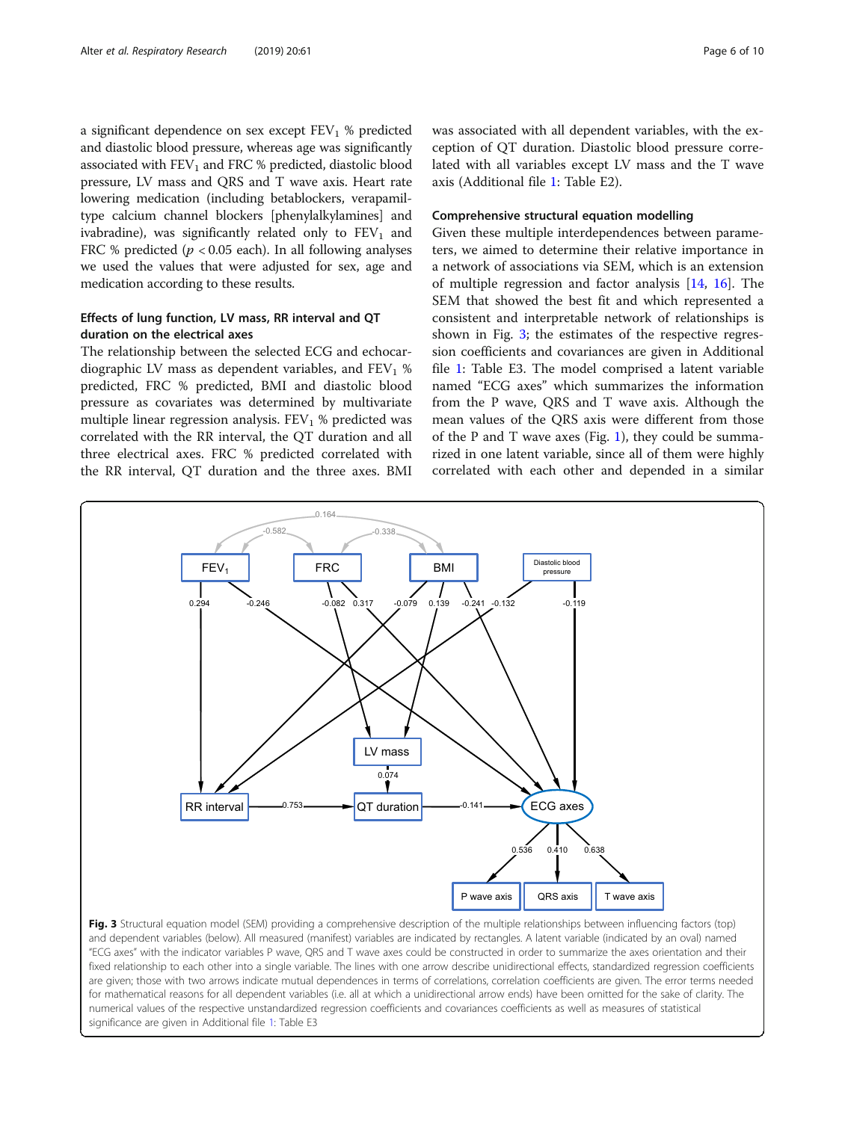<span id="page-5-0"></span>a significant dependence on sex except  $FEV<sub>1</sub>$  % predicted and diastolic blood pressure, whereas age was significantly associated with  $FEV<sub>1</sub>$  and FRC % predicted, diastolic blood pressure, LV mass and QRS and T wave axis. Heart rate lowering medication (including betablockers, verapamiltype calcium channel blockers [phenylalkylamines] and ivabradine), was significantly related only to  $FEV<sub>1</sub>$  and FRC % predicted ( $p < 0.05$  each). In all following analyses we used the values that were adjusted for sex, age and medication according to these results.

# Effects of lung function, LV mass, RR interval and QT duration on the electrical axes

The relationship between the selected ECG and echocardiographic LV mass as dependent variables, and  $FEV<sub>1</sub>$  % predicted, FRC % predicted, BMI and diastolic blood pressure as covariates was determined by multivariate multiple linear regression analysis.  $FEV<sub>1</sub>$  % predicted was correlated with the RR interval, the QT duration and all three electrical axes. FRC % predicted correlated with the RR interval, QT duration and the three axes. BMI was associated with all dependent variables, with the exception of QT duration. Diastolic blood pressure correlated with all variables except LV mass and the T wave axis (Additional file [1:](#page-7-0) Table E2).

# Comprehensive structural equation modelling

Given these multiple interdependences between parameters, we aimed to determine their relative importance in a network of associations via SEM, which is an extension of multiple regression and factor analysis [[14,](#page-8-0) [16\]](#page-8-0). The SEM that showed the best fit and which represented a consistent and interpretable network of relationships is shown in Fig. 3; the estimates of the respective regression coefficients and covariances are given in Additional file [1](#page-7-0): Table E3. The model comprised a latent variable named "ECG axes" which summarizes the information from the P wave, QRS and T wave axis. Although the mean values of the QRS axis were different from those of the P and T wave axes (Fig. [1\)](#page-3-0), they could be summarized in one latent variable, since all of them were highly correlated with each other and depended in a similar



fixed relationship to each other into a single variable. The lines with one arrow describe unidirectional effects, standardized regression coefficients are given; those with two arrows indicate mutual dependences in terms of correlations, correlation coefficients are given. The error terms needed for mathematical reasons for all dependent variables (i.e. all at which a unidirectional arrow ends) have been omitted for the sake of clarity. The numerical values of the respective unstandardized regression coefficients and covariances coefficients as well as measures of statistical significance are given in Additional file [1](#page-7-0): Table E3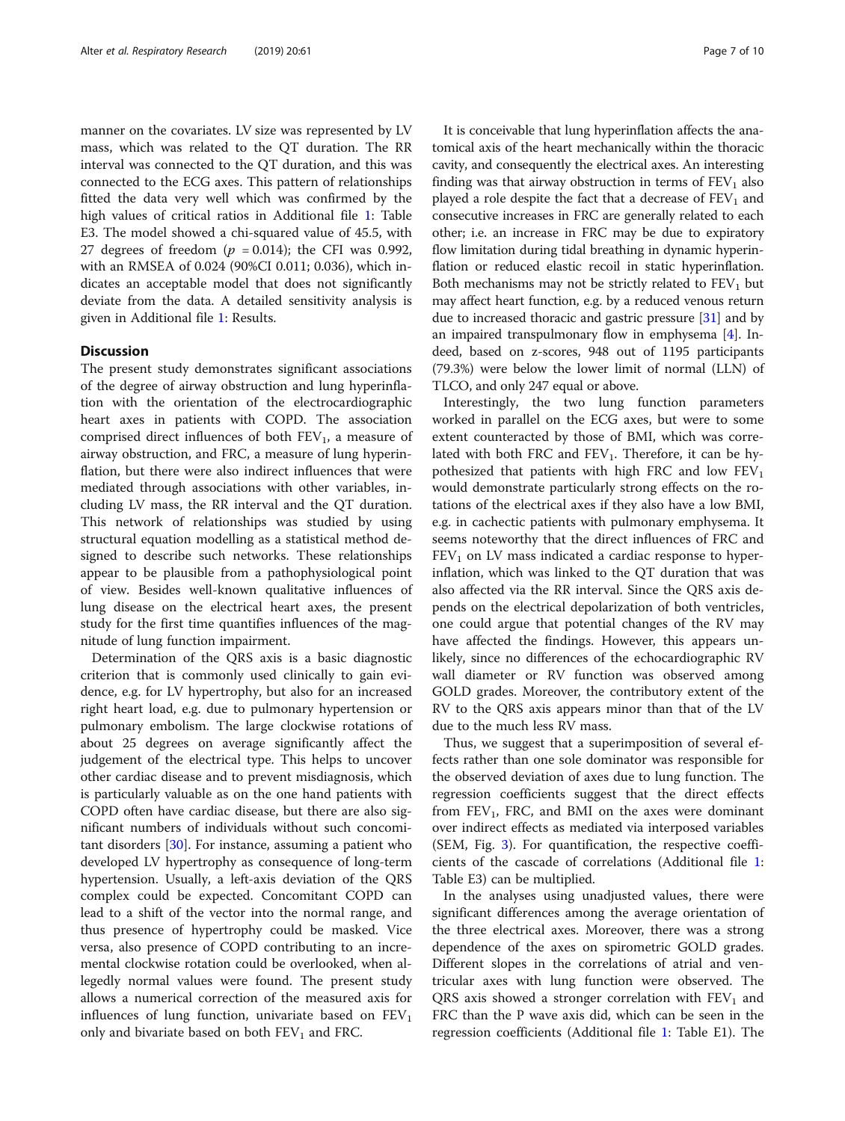manner on the covariates. LV size was represented by LV mass, which was related to the QT duration. The RR interval was connected to the QT duration, and this was connected to the ECG axes. This pattern of relationships fitted the data very well which was confirmed by the high values of critical ratios in Additional file [1:](#page-7-0) Table E3. The model showed a chi-squared value of 45.5, with 27 degrees of freedom ( $p = 0.014$ ); the CFI was 0.992, with an RMSEA of 0.024 (90%CI 0.011; 0.036), which indicates an acceptable model that does not significantly deviate from the data. A detailed sensitivity analysis is given in Additional file [1](#page-7-0): Results.

#### **Discussion**

The present study demonstrates significant associations of the degree of airway obstruction and lung hyperinflation with the orientation of the electrocardiographic heart axes in patients with COPD. The association comprised direct influences of both  $FEV<sub>1</sub>$ , a measure of airway obstruction, and FRC, a measure of lung hyperinflation, but there were also indirect influences that were mediated through associations with other variables, including LV mass, the RR interval and the QT duration. This network of relationships was studied by using structural equation modelling as a statistical method designed to describe such networks. These relationships appear to be plausible from a pathophysiological point of view. Besides well-known qualitative influences of lung disease on the electrical heart axes, the present study for the first time quantifies influences of the magnitude of lung function impairment.

Determination of the QRS axis is a basic diagnostic criterion that is commonly used clinically to gain evidence, e.g. for LV hypertrophy, but also for an increased right heart load, e.g. due to pulmonary hypertension or pulmonary embolism. The large clockwise rotations of about 25 degrees on average significantly affect the judgement of the electrical type. This helps to uncover other cardiac disease and to prevent misdiagnosis, which is particularly valuable as on the one hand patients with COPD often have cardiac disease, but there are also significant numbers of individuals without such concomitant disorders [\[30](#page-9-0)]. For instance, assuming a patient who developed LV hypertrophy as consequence of long-term hypertension. Usually, a left-axis deviation of the QRS complex could be expected. Concomitant COPD can lead to a shift of the vector into the normal range, and thus presence of hypertrophy could be masked. Vice versa, also presence of COPD contributing to an incremental clockwise rotation could be overlooked, when allegedly normal values were found. The present study allows a numerical correction of the measured axis for influences of lung function, univariate based on  $FEV<sub>1</sub>$ only and bivariate based on both  $FEV<sub>1</sub>$  and FRC.

It is conceivable that lung hyperinflation affects the anatomical axis of the heart mechanically within the thoracic cavity, and consequently the electrical axes. An interesting finding was that airway obstruction in terms of  $FEV<sub>1</sub>$  also played a role despite the fact that a decrease of  $FEV<sub>1</sub>$  and consecutive increases in FRC are generally related to each other; i.e. an increase in FRC may be due to expiratory flow limitation during tidal breathing in dynamic hyperinflation or reduced elastic recoil in static hyperinflation. Both mechanisms may not be strictly related to  $FEV<sub>1</sub>$  but may affect heart function, e.g. by a reduced venous return due to increased thoracic and gastric pressure [[31](#page-9-0)] and by an impaired transpulmonary flow in emphysema [[4](#page-8-0)]. Indeed, based on z-scores, 948 out of 1195 participants (79.3%) were below the lower limit of normal (LLN) of TLCO, and only 247 equal or above.

Interestingly, the two lung function parameters worked in parallel on the ECG axes, but were to some extent counteracted by those of BMI, which was correlated with both FRC and  $FEV_1$ . Therefore, it can be hypothesized that patients with high FRC and low  $FEV<sub>1</sub>$ would demonstrate particularly strong effects on the rotations of the electrical axes if they also have a low BMI, e.g. in cachectic patients with pulmonary emphysema. It seems noteworthy that the direct influences of FRC and  $FEV<sub>1</sub>$  on LV mass indicated a cardiac response to hyperinflation, which was linked to the QT duration that was also affected via the RR interval. Since the QRS axis depends on the electrical depolarization of both ventricles, one could argue that potential changes of the RV may have affected the findings. However, this appears unlikely, since no differences of the echocardiographic RV wall diameter or RV function was observed among GOLD grades. Moreover, the contributory extent of the RV to the QRS axis appears minor than that of the LV due to the much less RV mass.

Thus, we suggest that a superimposition of several effects rather than one sole dominator was responsible for the observed deviation of axes due to lung function. The regression coefficients suggest that the direct effects from  $FEV_1$ , FRC, and BMI on the axes were dominant over indirect effects as mediated via interposed variables (SEM, Fig. [3](#page-5-0)). For quantification, the respective coefficients of the cascade of correlations (Additional file [1](#page-7-0): Table E3) can be multiplied.

In the analyses using unadjusted values, there were significant differences among the average orientation of the three electrical axes. Moreover, there was a strong dependence of the axes on spirometric GOLD grades. Different slopes in the correlations of atrial and ventricular axes with lung function were observed. The QRS axis showed a stronger correlation with  $FEV<sub>1</sub>$  and FRC than the P wave axis did, which can be seen in the regression coefficients (Additional file [1](#page-7-0): Table E1). The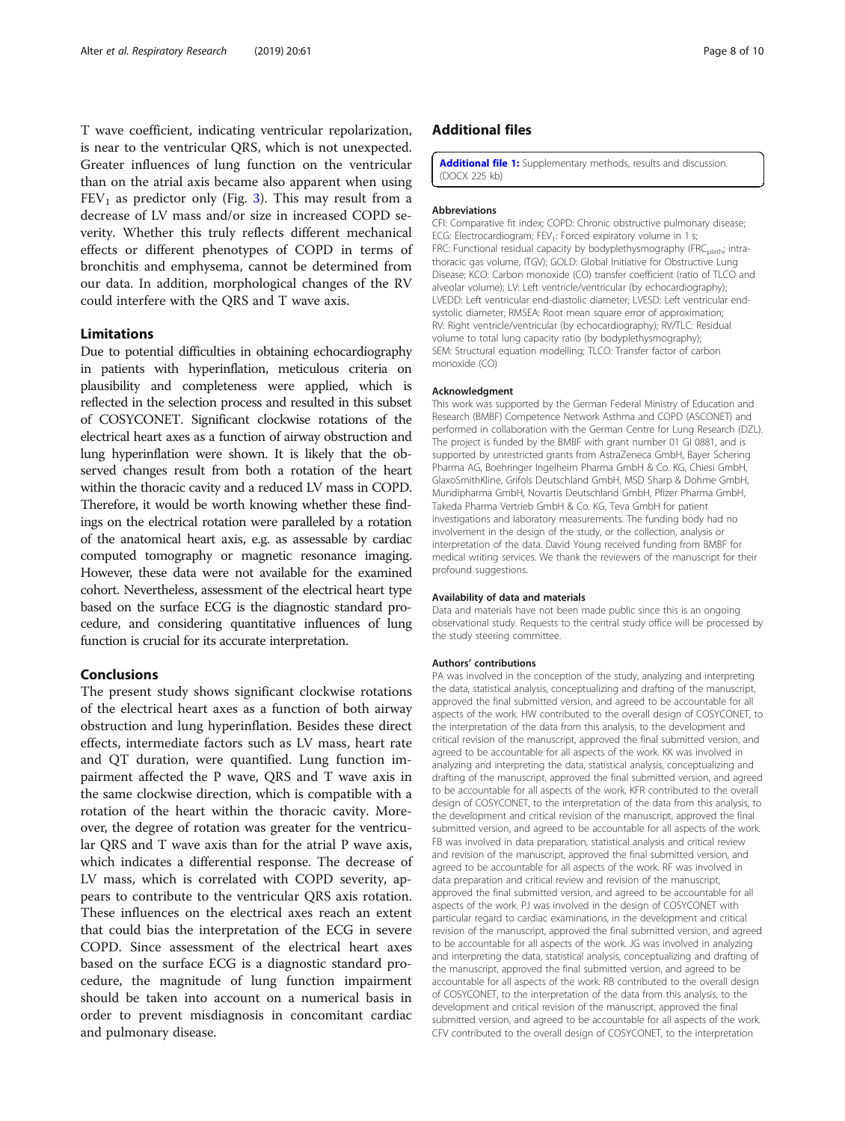<span id="page-7-0"></span>T wave coefficient, indicating ventricular repolarization, is near to the ventricular QRS, which is not unexpected. Greater influences of lung function on the ventricular than on the atrial axis became also apparent when using  $FEV<sub>1</sub>$  as predictor only (Fig. [3](#page-5-0)). This may result from a decrease of LV mass and/or size in increased COPD severity. Whether this truly reflects different mechanical effects or different phenotypes of COPD in terms of bronchitis and emphysema, cannot be determined from our data. In addition, morphological changes of the RV could interfere with the QRS and T wave axis.

#### Limitations

Due to potential difficulties in obtaining echocardiography in patients with hyperinflation, meticulous criteria on plausibility and completeness were applied, which is reflected in the selection process and resulted in this subset of COSYCONET. Significant clockwise rotations of the electrical heart axes as a function of airway obstruction and lung hyperinflation were shown. It is likely that the observed changes result from both a rotation of the heart within the thoracic cavity and a reduced LV mass in COPD. Therefore, it would be worth knowing whether these findings on the electrical rotation were paralleled by a rotation of the anatomical heart axis, e.g. as assessable by cardiac computed tomography or magnetic resonance imaging. However, these data were not available for the examined cohort. Nevertheless, assessment of the electrical heart type based on the surface ECG is the diagnostic standard procedure, and considering quantitative influences of lung function is crucial for its accurate interpretation.

# Conclusions

The present study shows significant clockwise rotations of the electrical heart axes as a function of both airway obstruction and lung hyperinflation. Besides these direct effects, intermediate factors such as LV mass, heart rate and QT duration, were quantified. Lung function impairment affected the P wave, QRS and T wave axis in the same clockwise direction, which is compatible with a rotation of the heart within the thoracic cavity. Moreover, the degree of rotation was greater for the ventricular QRS and T wave axis than for the atrial P wave axis, which indicates a differential response. The decrease of LV mass, which is correlated with COPD severity, appears to contribute to the ventricular QRS axis rotation. These influences on the electrical axes reach an extent that could bias the interpretation of the ECG in severe COPD. Since assessment of the electrical heart axes based on the surface ECG is a diagnostic standard procedure, the magnitude of lung function impairment should be taken into account on a numerical basis in order to prevent misdiagnosis in concomitant cardiac and pulmonary disease.

# Additional files

[Additional file 1:](https://doi.org/10.1186/s12931-019-1025-y) Supplementary methods, results and discussion. (DOCX 225 kb)

#### Abbreviations

CFI: Comparative fit index; COPD: Chronic obstructive pulmonary disease; ECG: Electrocardiogram: FEV<sub>1</sub>: Forced expiratory volume in 1 s; FRC: Functional residual capacity by bodyplethysmography (FRC<sub>pleth</sub>; intrathoracic gas volume, ITGV); GOLD: Global Initiative for Obstructive Lung Disease; KCO: Carbon monoxide (CO) transfer coefficient (ratio of TLCO and alveolar volume); LV: Left ventricle/ventricular (by echocardiography); LVEDD: Left ventricular end-diastolic diameter; LVESD: Left ventricular endsystolic diameter; RMSEA: Root mean square error of approximation; RV: Right ventricle/ventricular (by echocardiography); RV/TLC: Residual volume to total lung capacity ratio (by bodyplethysmography); SEM: Structural equation modelling; TLCO: Transfer factor of carbon monoxide (CO)

#### Acknowledgment

This work was supported by the German Federal Ministry of Education and Research (BMBF) Competence Network Asthma and COPD (ASCONET) and performed in collaboration with the German Centre for Lung Research (DZL). The project is funded by the BMBF with grant number 01 GI 0881, and is supported by unrestricted grants from AstraZeneca GmbH, Bayer Schering Pharma AG, Boehringer Ingelheim Pharma GmbH & Co. KG, Chiesi GmbH, GlaxoSmithKline, Grifols Deutschland GmbH, MSD Sharp & Dohme GmbH, Mundipharma GmbH, Novartis Deutschland GmbH, Pfizer Pharma GmbH, Takeda Pharma Vertrieb GmbH & Co. KG, Teva GmbH for patient investigations and laboratory measurements. The funding body had no involvement in the design of the study, or the collection, analysis or interpretation of the data. David Young received funding from BMBF for medical writing services. We thank the reviewers of the manuscript for their profound suggestions.

#### Availability of data and materials

Data and materials have not been made public since this is an ongoing observational study. Requests to the central study office will be processed by the study steering committee.

#### Authors' contributions

PA was involved in the conception of the study, analyzing and interpreting the data, statistical analysis, conceptualizing and drafting of the manuscript, approved the final submitted version, and agreed to be accountable for all aspects of the work. HW contributed to the overall design of COSYCONET, to the interpretation of the data from this analysis, to the development and critical revision of the manuscript, approved the final submitted version, and agreed to be accountable for all aspects of the work. KK was involved in analyzing and interpreting the data, statistical analysis, conceptualizing and drafting of the manuscript, approved the final submitted version, and agreed to be accountable for all aspects of the work. KFR contributed to the overall design of COSYCONET, to the interpretation of the data from this analysis, to the development and critical revision of the manuscript, approved the final submitted version, and agreed to be accountable for all aspects of the work. FB was involved in data preparation, statistical analysis and critical review and revision of the manuscript, approved the final submitted version, and agreed to be accountable for all aspects of the work. RF was involved in data preparation and critical review and revision of the manuscript, approved the final submitted version, and agreed to be accountable for all aspects of the work. PJ was involved in the design of COSYCONET with particular regard to cardiac examinations, in the development and critical revision of the manuscript, approved the final submitted version, and agreed to be accountable for all aspects of the work. JG was involved in analyzing and interpreting the data, statistical analysis, conceptualizing and drafting of the manuscript, approved the final submitted version, and agreed to be accountable for all aspects of the work. RB contributed to the overall design of COSYCONET, to the interpretation of the data from this analysis, to the development and critical revision of the manuscript, approved the final submitted version, and agreed to be accountable for all aspects of the work. CFV contributed to the overall design of COSYCONET, to the interpretation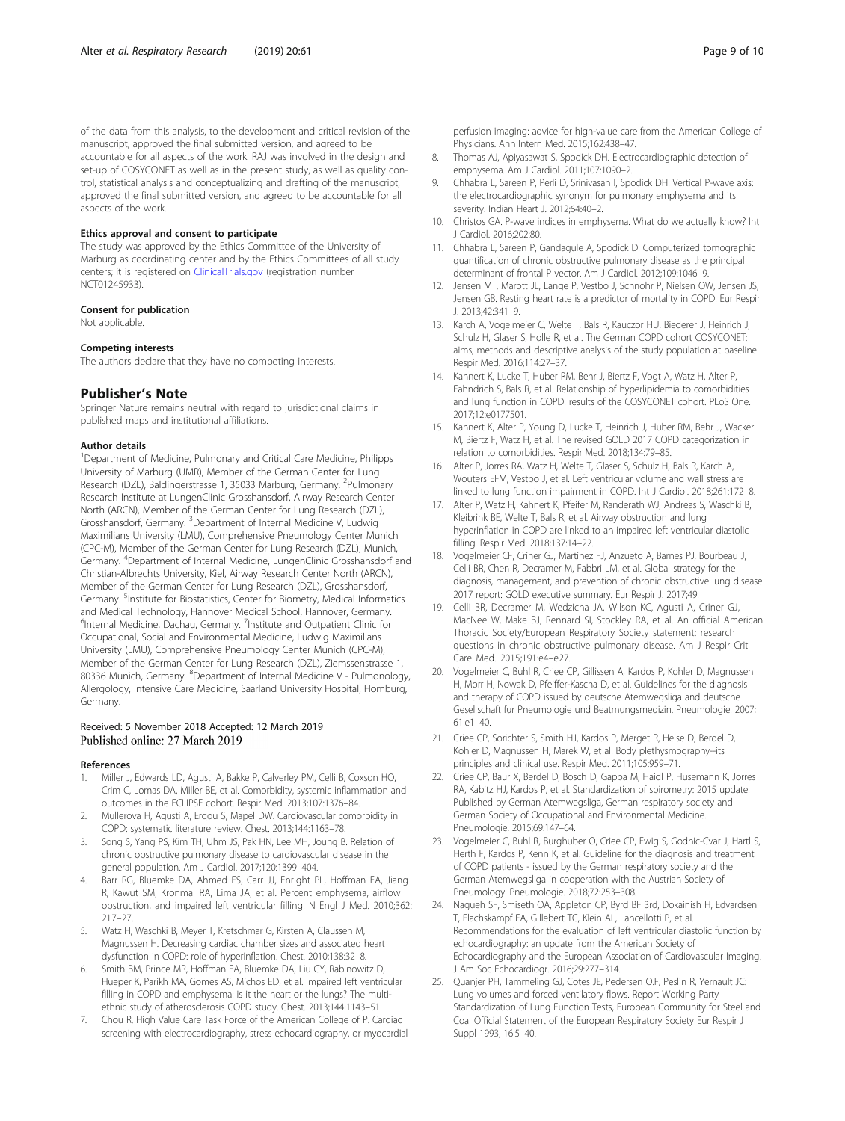<span id="page-8-0"></span>of the data from this analysis, to the development and critical revision of the manuscript, approved the final submitted version, and agreed to be accountable for all aspects of the work. RAJ was involved in the design and set-up of COSYCONET as well as in the present study, as well as quality control, statistical analysis and conceptualizing and drafting of the manuscript, approved the final submitted version, and agreed to be accountable for all aspects of the work.

#### Ethics approval and consent to participate

The study was approved by the Ethics Committee of the University of Marburg as coordinating center and by the Ethics Committees of all study centers; it is registered on [ClinicalTrials.gov](http://clinicaltrials.gov) (registration number NCT01245933).

#### Consent for publication

Not applicable.

#### Competing interests

The authors declare that they have no competing interests.

# Publisher's Note

Springer Nature remains neutral with regard to jurisdictional claims in published maps and institutional affiliations.

#### Author details

<sup>1</sup>Department of Medicine, Pulmonary and Critical Care Medicine, Philipps University of Marburg (UMR), Member of the German Center for Lung Research (DZL), Baldingerstrasse 1, 35033 Marburg, Germany. <sup>2</sup>Pulmonary Research Institute at LungenClinic Grosshansdorf, Airway Research Center North (ARCN), Member of the German Center for Lung Research (DZL), Grosshansdorf, Germany. <sup>3</sup>Department of Internal Medicine V, Ludwig Maximilians University (LMU), Comprehensive Pneumology Center Munich (CPC-M), Member of the German Center for Lung Research (DZL), Munich, Germany. <sup>4</sup> Department of Internal Medicine, LungenClinic Grosshansdorf and Christian-Albrechts University, Kiel, Airway Research Center North (ARCN), Member of the German Center for Lung Research (DZL), Grosshansdorf, Germany. <sup>5</sup>Institute for Biostatistics, Center for Biometry, Medical Informatics and Medical Technology, Hannover Medical School, Hannover, Germany. <sup>6</sup>Internal Medicine, Dachau, Germany. <sup>7</sup>Institute and Outpatient Clinic for Occupational, Social and Environmental Medicine, Ludwig Maximilians University (LMU), Comprehensive Pneumology Center Munich (CPC-M), Member of the German Center for Lung Research (DZL), Ziemssenstrasse 1, 80336 Munich, Germany. <sup>8</sup>Department of Internal Medicine V - Pulmonology, Allergology, Intensive Care Medicine, Saarland University Hospital, Homburg, Germany.

# Received: 5 November 2018 Accepted: 12 March 2019 Published online: 27 March 2019

#### References

- 1. Miller J, Edwards LD, Agusti A, Bakke P, Calverley PM, Celli B, Coxson HO, Crim C, Lomas DA, Miller BE, et al. Comorbidity, systemic inflammation and outcomes in the ECLIPSE cohort. Respir Med. 2013;107:1376–84.
- 2. Mullerova H, Agusti A, Erqou S, Mapel DW. Cardiovascular comorbidity in COPD: systematic literature review. Chest. 2013;144:1163–78.
- 3. Song S, Yang PS, Kim TH, Uhm JS, Pak HN, Lee MH, Joung B. Relation of chronic obstructive pulmonary disease to cardiovascular disease in the general population. Am J Cardiol. 2017;120:1399–404.
- Barr RG, Bluemke DA, Ahmed FS, Carr JJ, Enright PL, Hoffman EA, Jiang R, Kawut SM, Kronmal RA, Lima JA, et al. Percent emphysema, airflow obstruction, and impaired left ventricular filling. N Engl J Med. 2010;362: 217–27.
- 5. Watz H, Waschki B, Meyer T, Kretschmar G, Kirsten A, Claussen M, Magnussen H. Decreasing cardiac chamber sizes and associated heart dysfunction in COPD: role of hyperinflation. Chest. 2010;138:32–8.
- 6. Smith BM, Prince MR, Hoffman EA, Bluemke DA, Liu CY, Rabinowitz D, Hueper K, Parikh MA, Gomes AS, Michos ED, et al. Impaired left ventricular filling in COPD and emphysema: is it the heart or the lungs? The multiethnic study of atherosclerosis COPD study. Chest. 2013;144:1143–51.
- 7. Chou R, High Value Care Task Force of the American College of P. Cardiac screening with electrocardiography, stress echocardiography, or myocardial
- 8. Thomas AJ, Apiyasawat S, Spodick DH. Electrocardiographic detection of emphysema. Am J Cardiol. 2011;107:1090–2.
- 9. Chhabra L, Sareen P, Perli D, Srinivasan I, Spodick DH. Vertical P-wave axis: the electrocardiographic synonym for pulmonary emphysema and its severity. Indian Heart J. 2012;64:40–2.
- 10. Christos GA. P-wave indices in emphysema. What do we actually know? Int J Cardiol. 2016;202:80.
- 11. Chhabra L, Sareen P, Gandagule A, Spodick D. Computerized tomographic quantification of chronic obstructive pulmonary disease as the principal determinant of frontal P vector. Am J Cardiol. 2012;109:1046–9.
- 12. Jensen MT, Marott JL, Lange P, Vestbo J, Schnohr P, Nielsen OW, Jensen JS, Jensen GB. Resting heart rate is a predictor of mortality in COPD. Eur Respir J. 2013;42:341–9.
- 13. Karch A, Vogelmeier C, Welte T, Bals R, Kauczor HU, Biederer J, Heinrich J, Schulz H, Glaser S, Holle R, et al. The German COPD cohort COSYCONET: aims, methods and descriptive analysis of the study population at baseline. Respir Med. 2016;114:27–37.
- 14. Kahnert K, Lucke T, Huber RM, Behr J, Biertz F, Vogt A, Watz H, Alter P, Fahndrich S, Bals R, et al. Relationship of hyperlipidemia to comorbidities and lung function in COPD: results of the COSYCONET cohort. PLoS One. 2017;12:e0177501.
- 15. Kahnert K, Alter P, Young D, Lucke T, Heinrich J, Huber RM, Behr J, Wacker M, Biertz F, Watz H, et al. The revised GOLD 2017 COPD categorization in relation to comorbidities. Respir Med. 2018;134:79–85.
- 16. Alter P, Jorres RA, Watz H, Welte T, Glaser S, Schulz H, Bals R, Karch A, Wouters EFM, Vestbo J, et al. Left ventricular volume and wall stress are linked to lung function impairment in COPD. Int J Cardiol. 2018;261:172–8.
- 17. Alter P, Watz H, Kahnert K, Pfeifer M, Randerath WJ, Andreas S, Waschki B, Kleibrink BE, Welte T, Bals R, et al. Airway obstruction and lung hyperinflation in COPD are linked to an impaired left ventricular diastolic filling. Respir Med. 2018;137:14–22.
- 18. Vogelmeier CF, Criner GJ, Martinez FJ, Anzueto A, Barnes PJ, Bourbeau J, Celli BR, Chen R, Decramer M, Fabbri LM, et al. Global strategy for the diagnosis, management, and prevention of chronic obstructive lung disease 2017 report: GOLD executive summary. Eur Respir J. 2017;49.
- 19. Celli BR, Decramer M, Wedzicha JA, Wilson KC, Agusti A, Criner GJ, MacNee W, Make BJ, Rennard SI, Stockley RA, et al. An official American Thoracic Society/European Respiratory Society statement: research questions in chronic obstructive pulmonary disease. Am J Respir Crit Care Med. 2015;191:e4–e27.
- 20. Vogelmeier C, Buhl R, Criee CP, Gillissen A, Kardos P, Kohler D, Magnussen H, Morr H, Nowak D, Pfeiffer-Kascha D, et al. Guidelines for the diagnosis and therapy of COPD issued by deutsche Atemwegsliga and deutsche Gesellschaft fur Pneumologie und Beatmungsmedizin. Pneumologie. 2007; 61:e1–40.
- 21. Criee CP, Sorichter S, Smith HJ, Kardos P, Merget R, Heise D, Berdel D, Kohler D, Magnussen H, Marek W, et al. Body plethysmography--its principles and clinical use. Respir Med. 2011;105:959–71.
- 22. Criee CP, Baur X, Berdel D, Bosch D, Gappa M, Haidl P, Husemann K, Jorres RA, Kabitz HJ, Kardos P, et al. Standardization of spirometry: 2015 update. Published by German Atemwegsliga, German respiratory society and German Society of Occupational and Environmental Medicine. Pneumologie. 2015;69:147–64.
- 23. Vogelmeier C, Buhl R, Burghuber O, Criee CP, Ewig S, Godnic-Cvar J, Hartl S, Herth F, Kardos P, Kenn K, et al. Guideline for the diagnosis and treatment of COPD patients - issued by the German respiratory society and the German Atemwegsliga in cooperation with the Austrian Society of Pneumology. Pneumologie. 2018;72:253–308.
- 24. Nagueh SF, Smiseth OA, Appleton CP, Byrd BF 3rd, Dokainish H, Edvardsen T, Flachskampf FA, Gillebert TC, Klein AL, Lancellotti P, et al. Recommendations for the evaluation of left ventricular diastolic function by echocardiography: an update from the American Society of Echocardiography and the European Association of Cardiovascular Imaging. J Am Soc Echocardiogr. 2016;29:277–314.
- 25. Quanjer PH, Tammeling GJ, Cotes JE, Pedersen O.F, Peslin R, Yernault JC: Lung volumes and forced ventilatory flows. Report Working Party Standardization of Lung Function Tests, European Community for Steel and Coal Official Statement of the European Respiratory Society Eur Respir J Suppl 1993, 16:5–40.